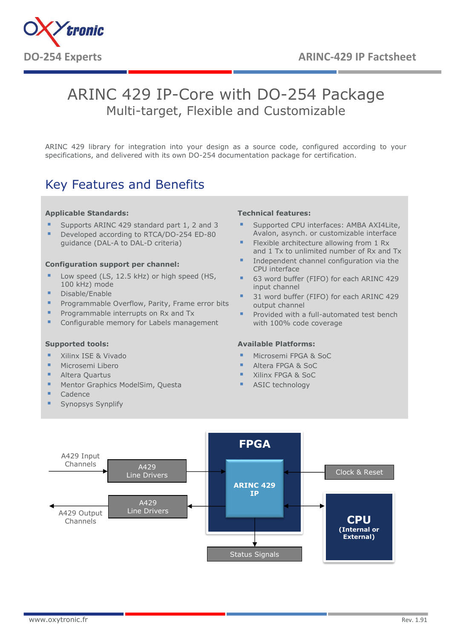

# ARINC 429 IP-Core with DO-254 Package Multi-target, Flexible and Customizable

ARINC 429 library for integration into your design as a source code, configured according to your specifications, and delivered with its own DO-254 documentation package for certification.

## Key Features and Benefits

#### **Applicable Standards:**

- Supports ARINC 429 standard part 1, 2 and 3
- Developed according to RTCA/DO-254 ED-80
- guidance (DAL-A to DAL-D criteria)

#### **Configuration support per channel:**

- Low speed (LS, 12.5 kHz) or high speed (HS, 100 kHz) mode
- Disable/Enable
- **•** Programmable Overflow, Parity, Frame error bits
- **Programmable interrupts on Rx and Tx**
- Configurable memory for Labels management

### **Supported tools:**

- Xilinx ISE & Vivado
- Microsemi Libero
- Altera Quartus
- **■** Mentor Graphics ModelSim, Questa
- Cadence
- Synopsys Synplify

#### **Technical features:**

- Supported CPU interfaces: AMBA AXI4Lite, Avalon, asynch. or customizable interface
- Flexible architecture allowing from 1 Rx and 1 Tx to unlimited number of Rx and Tx
- Independent channel configuration via the CPU interface
- 63 word buffer (FIFO) for each ARINC 429 input channel
- 31 word buffer (FIFO) for each ARINC 429 output channel
- Provided with a full-automated test bench with 100% code coverage

### **Available Platforms:**

- Microsemi FPGA & SoC
- Altera FPGA & SoC
- Xilinx FPGA & SoC
- ASIC technology

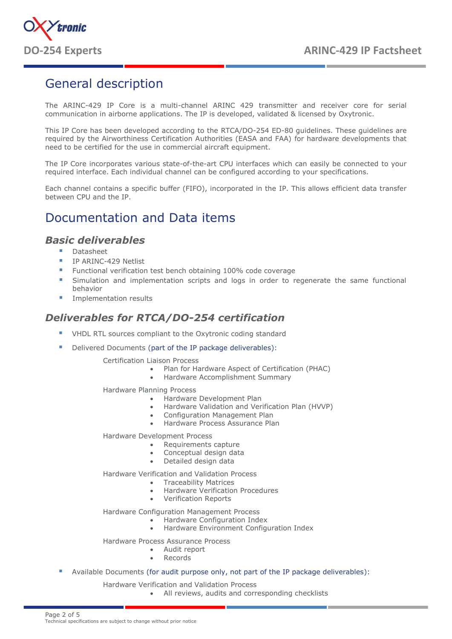

## General description

The ARINC-429 IP Core is a multi-channel ARINC 429 transmitter and receiver core for serial communication in airborne applications. The IP is developed, validated & licensed by Oxytronic.

This IP Core has been developed according to the RTCA/DO-254 ED-80 guidelines. These guidelines are required by the Airworthiness Certification Authorities (EASA and FAA) for hardware developments that need to be certified for the use in commercial aircraft equipment.

The IP Core incorporates various state-of-the-art CPU interfaces which can easily be connected to your required interface. Each individual channel can be configured according to your specifications.

Each channel contains a specific buffer (FIFO), incorporated in the IP. This allows efficient data transfer between CPU and the IP.

## Documentation and Data items

### *Basic deliverables*

- Datasheet
- **IP ARINC-429 Netlist**
- Functional verification test bench obtaining 100% code coverage
- Simulation and implementation scripts and logs in order to regenerate the same functional behavior
- Implementation results

### *Deliverables for RTCA/DO-254 certification*

- VHDL RTL sources compliant to the Oxytronic coding standard
- Delivered Documents (part of the IP package deliverables):

Certification Liaison Process

- Plan for Hardware Aspect of Certification (PHAC)
	- Hardware Accomplishment Summary

Hardware Planning Process

- Hardware Development Plan
- Hardware Validation and Verification Plan (HVVP)
- Configuration Management Plan
- Hardware Process Assurance Plan

Hardware Development Process

- Requirements capture
- Conceptual design data
- Detailed design data

Hardware Verification and Validation Process

- Traceability Matrices
- Hardware Verification Procedures
- Verification Reports

Hardware Configuration Management Process

- Hardware Configuration Index
- Hardware Environment Configuration Index

#### Hardware Process Assurance Process

- Audit report
- **Records**
- Available Documents (for audit purpose only, not part of the IP package deliverables):
	- Hardware Verification and Validation Process
		- All reviews, audits and corresponding checklists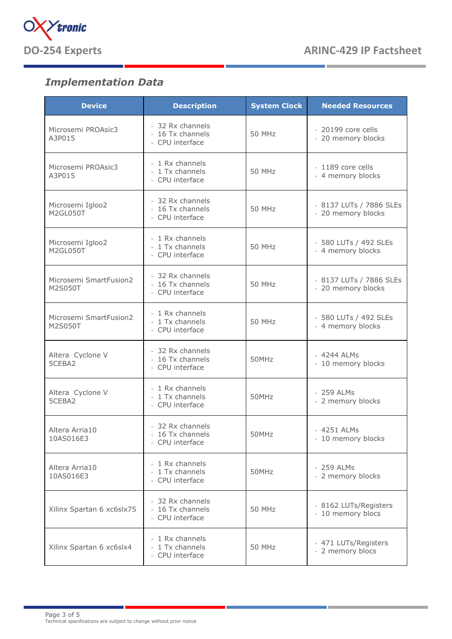

## *Implementation Data*

| <b>Device</b>                     | <b>Description</b>                                      | <b>System Clock</b> | <b>Needed Resources</b>                       |
|-----------------------------------|---------------------------------------------------------|---------------------|-----------------------------------------------|
| Microsemi PROAsic3<br>A3P015      | - 32 Rx channels<br>- 16 Tx channels<br>- CPU interface | 50 MHz              | - 20199 core cells<br>- 20 memory blocks      |
| Microsemi PROAsic3<br>A3P015      | - 1 Rx channels<br>- 1 Tx channels<br>- CPU interface   | 50 MHz              | - 1189 core cells<br>- 4 memory blocks        |
| Microsemi Igloo2<br>M2GL050T      | - 32 Rx channels<br>- 16 Tx channels<br>- CPU interface | 50 MHz              | - 8137 LUTs / 7886 SLEs<br>- 20 memory blocks |
| Microsemi Igloo2<br>M2GL050T      | - 1 Rx channels<br>- 1 Tx channels<br>- CPU interface   | <b>50 MHz</b>       | - 580 LUTs / 492 SLEs<br>- 4 memory blocks    |
| Microsemi SmartFusion2<br>M2S050T | - 32 Rx channels<br>- 16 Tx channels<br>- CPU interface | <b>50 MHz</b>       | - 8137 LUTs / 7886 SLEs<br>- 20 memory blocks |
| Microsemi SmartFusion2<br>M2S050T | - 1 Rx channels<br>- 1 Tx channels<br>- CPU interface   | 50 MHz              | - 580 LUTs / 492 SLEs<br>- 4 memory blocks    |
| Altera Cyclone V<br>5CEBA2        | - 32 Rx channels<br>- 16 Tx channels<br>- CPU interface | 50MHz               | - 4244 ALMs<br>- 10 memory blocks             |
| Altera Cyclone V<br>5CEBA2        | - 1 Rx channels<br>- 1 Tx channels<br>- CPU interface   | 50MHz               | - 259 ALMs<br>- 2 memory blocks               |
| Altera Arria10<br>10AS016E3       | - 32 Rx channels<br>- 16 Tx channels<br>- CPU interface | 50MHz               | - 4251 ALMs<br>- 10 memory blocks             |
| Altera Arria10<br>10AS016E3       | - 1 Rx channels<br>- 1 Tx channels<br>- CPU interface   | 50MHz               | - 259 ALMs<br>- 2 memory blocks               |
| Xilinx Spartan 6 xc6slx75         | - 32 Rx channels<br>- 16 Tx channels<br>- CPU interface | <b>50 MHz</b>       | - 8162 LUTs/Registers<br>- 10 memory blocs    |
| Xilinx Spartan 6 xc6slx4          | - 1 Rx channels<br>- 1 Tx channels<br>- CPU interface   | 50 MHz              | - 471 LUTs/Registers<br>- 2 memory blocs      |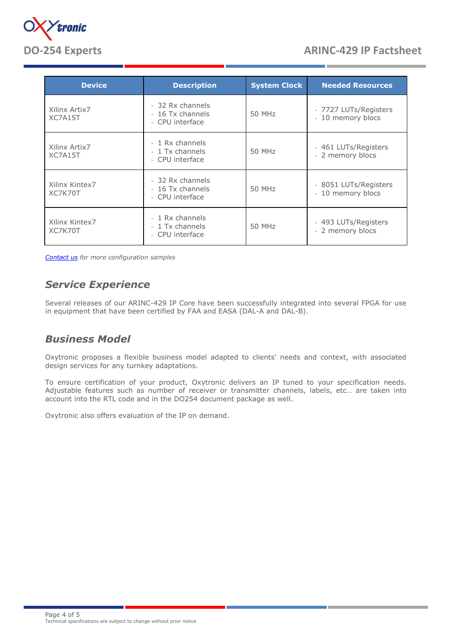

| <b>Device</b>             | <b>Description</b>                                      | <b>System Clock</b> | <b>Needed Resources</b>                    |
|---------------------------|---------------------------------------------------------|---------------------|--------------------------------------------|
| Xilinx Artix7<br>XC7A15T  | - 32 Rx channels<br>- 16 Tx channels<br>- CPU interface | 50 MHz              | - 7727 LUTs/Registers<br>- 10 memory blocs |
| Xilinx Artix7<br>XC7A15T  | - 1 Rx channels<br>- 1 Tx channels<br>- CPU interface   | 50 MHz              | - 461 LUTs/Registers<br>- 2 memory blocs   |
| Xilinx Kintex7<br>XC7K70T | - 32 Rx channels<br>- 16 Tx channels<br>- CPU interface | 50 MHz              | - 8051 LUTs/Registers<br>- 10 memory blocs |
| Xilinx Kintex7<br>XC7K70T | - 1 Rx channels<br>- 1 Tx channels<br>- CPU interface   | 50 MHz              | - 493 LUTs/Registers<br>- 2 memory blocs   |

*[Contact us](http://www.oxytronic.fr/en/contact-us/) for more configuration samples*

### *Service Experience*

Several releases of our ARINC-429 IP Core have been successfully integrated into several FPGA for use in equipment that have been certified by FAA and EASA (DAL-A and DAL-B).

### *Business Model*

Oxytronic proposes a flexible business model adapted to clients' needs and context, with associated design services for any turnkey adaptations.

To ensure certification of your product, Oxytronic delivers an IP tuned to your specification needs. Adjustable features such as number of receiver or transmitter channels, labels, etc… are taken into account into the RTL code and in the DO254 document package as well.

Oxytronic also offers evaluation of the IP on demand.